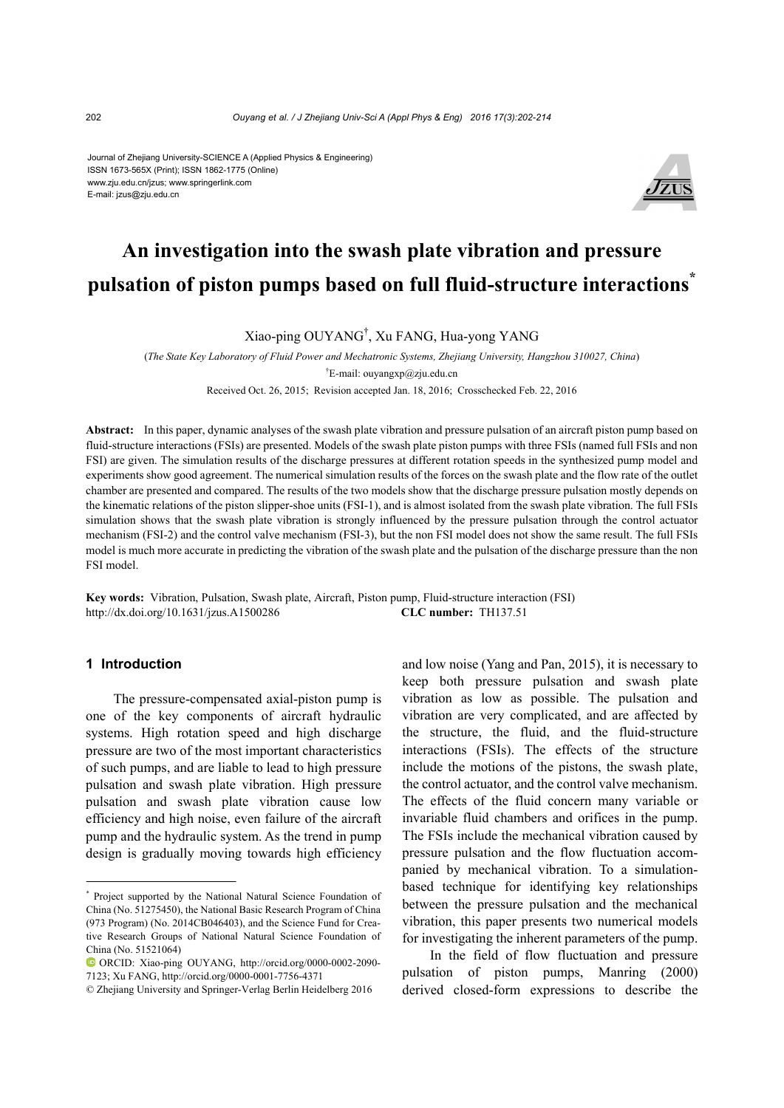Journal of Zhejiang University-SCIENCE A (Applied Physics & Engineering) ISSN 1673-565X (Print); ISSN 1862-1775 (Online) www.zju.edu.cn/jzus; www.springerlink.com E-mail: jzus@zju.edu.cn



# **An investigation into the swash plate vibration and pressure pulsation of piston pumps based on full fluid-structure interactions\***

Xiao-ping OUYANG† , Xu FANG, Hua-yong YANG

(*The State Key Laboratory of Fluid Power and Mechatronic Systems, Zhejiang University, Hangzhou 310027, China*) † E-mail: ouyangxp@zju.edu.cn

Received Oct. 26, 2015; Revision accepted Jan. 18, 2016; Crosschecked Feb. 22, 2016

**Abstract:** In this paper, dynamic analyses of the swash plate vibration and pressure pulsation of an aircraft piston pump based on fluid-structure interactions (FSIs) are presented. Models of the swash plate piston pumps with three FSIs (named full FSIs and non FSI) are given. The simulation results of the discharge pressures at different rotation speeds in the synthesized pump model and experiments show good agreement. The numerical simulation results of the forces on the swash plate and the flow rate of the outlet chamber are presented and compared. The results of the two models show that the discharge pressure pulsation mostly depends on the kinematic relations of the piston slipper-shoe units (FSI-1), and is almost isolated from the swash plate vibration. The full FSIs simulation shows that the swash plate vibration is strongly influenced by the pressure pulsation through the control actuator mechanism (FSI-2) and the control valve mechanism (FSI-3), but the non FSI model does not show the same result. The full FSIs model is much more accurate in predicting the vibration of the swash plate and the pulsation of the discharge pressure than the non FSI model.

**Key words:** Vibration, Pulsation, Swash plate, Aircraft, Piston pump, Fluid-structure interaction (FSI) http://dx.doi.org/10.1631/jzus.A1500286 **CLC number:** TH137.51

#### **1 Introduction**

The pressure-compensated axial-piston pump is one of the key components of aircraft hydraulic systems. High rotation speed and high discharge pressure are two of the most important characteristics of such pumps, and are liable to lead to high pressure pulsation and swash plate vibration. High pressure pulsation and swash plate vibration cause low efficiency and high noise, even failure of the aircraft pump and the hydraulic system. As the trend in pump design is gradually moving towards high efficiency

and low noise (Yang and Pan, 2015), it is necessary to keep both pressure pulsation and swash plate vibration as low as possible. The pulsation and vibration are very complicated, and are affected by the structure, the fluid, and the fluid-structure interactions (FSIs). The effects of the structure include the motions of the pistons, the swash plate, the control actuator, and the control valve mechanism. The effects of the fluid concern many variable or invariable fluid chambers and orifices in the pump. The FSIs include the mechanical vibration caused by pressure pulsation and the flow fluctuation accompanied by mechanical vibration. To a simulationbased technique for identifying key relationships between the pressure pulsation and the mechanical vibration, this paper presents two numerical models for investigating the inherent parameters of the pump.

In the field of flow fluctuation and pressure pulsation of piston pumps, Manring (2000) derived closed-form expressions to describe the

<sup>\*</sup> Project supported by the National Natural Science Foundation of China (No. 51275450), the National Basic Research Program of China (973 Program) (No. 2014CB046403), and the Science Fund for Creative Research Groups of National Natural Science Foundation of China (No. 51521064)

ORCID: Xiao-ping OUYANG, http://orcid.org/0000-0002-2090- 7123; Xu FANG, http://orcid.org/0000-0001-7756-4371

<sup>©</sup> Zhejiang University and Springer-Verlag Berlin Heidelberg 2016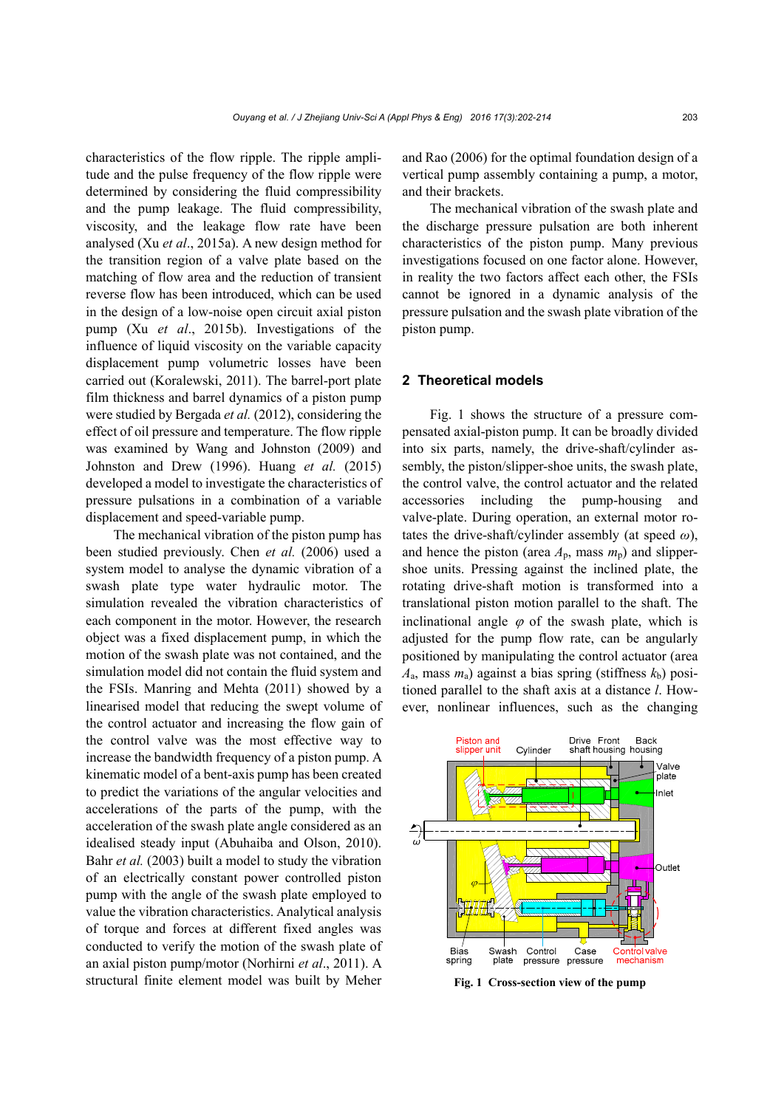characteristics of the flow ripple. The ripple amplitude and the pulse frequency of the flow ripple were determined by considering the fluid compressibility and the pump leakage. The fluid compressibility, viscosity, and the leakage flow rate have been analysed (Xu *et al*., 2015a). A new design method for the transition region of a valve plate based on the matching of flow area and the reduction of transient reverse flow has been introduced, which can be used in the design of a low-noise open circuit axial piston pump (Xu *et al*., 2015b). Investigations of the influence of liquid viscosity on the variable capacity displacement pump volumetric losses have been carried out (Koralewski, 2011). The barrel-port plate film thickness and barrel dynamics of a piston pump were studied by Bergada *et al.* (2012), considering the effect of oil pressure and temperature. The flow ripple was examined by Wang and Johnston (2009) and Johnston and Drew (1996). Huang *et al.* (2015) developed a model to investigate the characteristics of pressure pulsations in a combination of a variable displacement and speed-variable pump.

The mechanical vibration of the piston pump has been studied previously. Chen *et al.* (2006) used a system model to analyse the dynamic vibration of a swash plate type water hydraulic motor. The simulation revealed the vibration characteristics of each component in the motor. However, the research object was a fixed displacement pump, in which the motion of the swash plate was not contained, and the simulation model did not contain the fluid system and the FSIs. Manring and Mehta (2011) showed by a linearised model that reducing the swept volume of the control actuator and increasing the flow gain of the control valve was the most effective way to increase the bandwidth frequency of a piston pump. A kinematic model of a bent-axis pump has been created to predict the variations of the angular velocities and accelerations of the parts of the pump, with the acceleration of the swash plate angle considered as an idealised steady input (Abuhaiba and Olson, 2010). Bahr *et al.* (2003) built a model to study the vibration of an electrically constant power controlled piston pump with the angle of the swash plate employed to value the vibration characteristics. Analytical analysis of torque and forces at different fixed angles was conducted to verify the motion of the swash plate of an axial piston pump/motor (Norhirni *et al*., 2011). A structural finite element model was built by Meher

and Rao (2006) for the optimal foundation design of a vertical pump assembly containing a pump, a motor, and their brackets.

The mechanical vibration of the swash plate and the discharge pressure pulsation are both inherent characteristics of the piston pump. Many previous investigations focused on one factor alone. However, in reality the two factors affect each other, the FSIs cannot be ignored in a dynamic analysis of the pressure pulsation and the swash plate vibration of the piston pump.

#### **2 Theoretical models**

Fig. 1 shows the structure of a pressure compensated axial-piston pump. It can be broadly divided into six parts, namely, the drive-shaft/cylinder assembly, the piston/slipper-shoe units, the swash plate, the control valve, the control actuator and the related accessories including the pump-housing and valve-plate. During operation, an external motor rotates the drive-shaft/cylinder assembly (at speed *ω*), and hence the piston (area  $A_p$ , mass  $m_p$ ) and slippershoe units. Pressing against the inclined plate, the rotating drive-shaft motion is transformed into a translational piston motion parallel to the shaft. The inclinational angle  $\varphi$  of the swash plate, which is adjusted for the pump flow rate, can be angularly positioned by manipulating the control actuator (area  $A<sub>a</sub>$ , mass  $m<sub>a</sub>$ ) against a bias spring (stiffness  $k<sub>b</sub>$ ) positioned parallel to the shaft axis at a distance *l*. However, nonlinear influences, such as the changing



**Fig. 1 Cross-section view of the pump**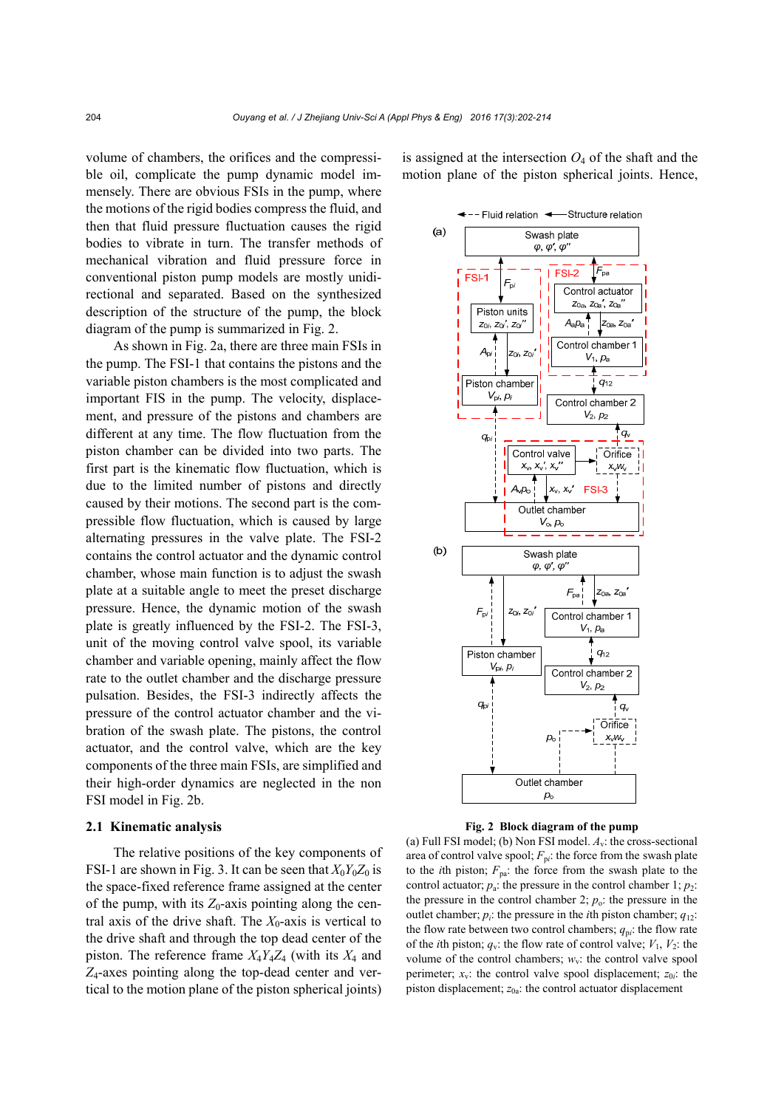volume of chambers, the orifices and the compressible oil, complicate the pump dynamic model immensely. There are obvious FSIs in the pump, where the motions of the rigid bodies compress the fluid, and then that fluid pressure fluctuation causes the rigid bodies to vibrate in turn. The transfer methods of mechanical vibration and fluid pressure force in conventional piston pump models are mostly unidirectional and separated. Based on the synthesized description of the structure of the pump, the block diagram of the pump is summarized in Fig. 2.

As shown in Fig. 2a, there are three main FSIs in the pump. The FSI-1 that contains the pistons and the variable piston chambers is the most complicated and important FIS in the pump. The velocity, displacement, and pressure of the pistons and chambers are different at any time. The flow fluctuation from the piston chamber can be divided into two parts. The first part is the kinematic flow fluctuation, which is due to the limited number of pistons and directly caused by their motions. The second part is the compressible flow fluctuation, which is caused by large alternating pressures in the valve plate. The FSI-2 contains the control actuator and the dynamic control chamber, whose main function is to adjust the swash plate at a suitable angle to meet the preset discharge pressure. Hence, the dynamic motion of the swash plate is greatly influenced by the FSI-2. The FSI-3, unit of the moving control valve spool, its variable chamber and variable opening, mainly affect the flow rate to the outlet chamber and the discharge pressure pulsation. Besides, the FSI-3 indirectly affects the pressure of the control actuator chamber and the vibration of the swash plate. The pistons, the control actuator, and the control valve, which are the key components of the three main FSIs, are simplified and their high-order dynamics are neglected in the non FSI model in Fig. 2b.

#### **2.1 Kinematic analysis**

The relative positions of the key components of FSI-1 are shown in Fig. 3. It can be seen that  $X_0Y_0Z_0$  is the space-fixed reference frame assigned at the center of the pump, with its  $Z_0$ -axis pointing along the central axis of the drive shaft. The  $X_0$ -axis is vertical to the drive shaft and through the top dead center of the piston. The reference frame *X*4*Y*4*Z*4 (with its *X*4 and *Z*4-axes pointing along the top-dead center and vertical to the motion plane of the piston spherical joints)

is assigned at the intersection  $O_4$  of the shaft and the motion plane of the piston spherical joints. Hence,





(a) Full FSI model; (b) Non FSI model. *A*v: the cross-sectional area of control valve spool;  $F_{pi}$ : the force from the swash plate to the *i*th piston;  $F_{pa}$ : the force from the swash plate to the control actuator;  $p_a$ : the pressure in the control chamber 1;  $p_2$ : the pressure in the control chamber 2;  $p_0$ : the pressure in the outlet chamber;  $p_i$ : the pressure in the *i*th piston chamber;  $q_{12}$ : the flow rate between two control chambers;  $q_{pi}$ : the flow rate of the *i*th piston;  $q_v$ : the flow rate of control valve;  $V_1$ ,  $V_2$ : the volume of the control chambers;  $w_y$ : the control valve spool perimeter;  $x_v$ : the control valve spool displacement;  $z_{0i}$ : the piston displacement; *z*0a: the control actuator displacement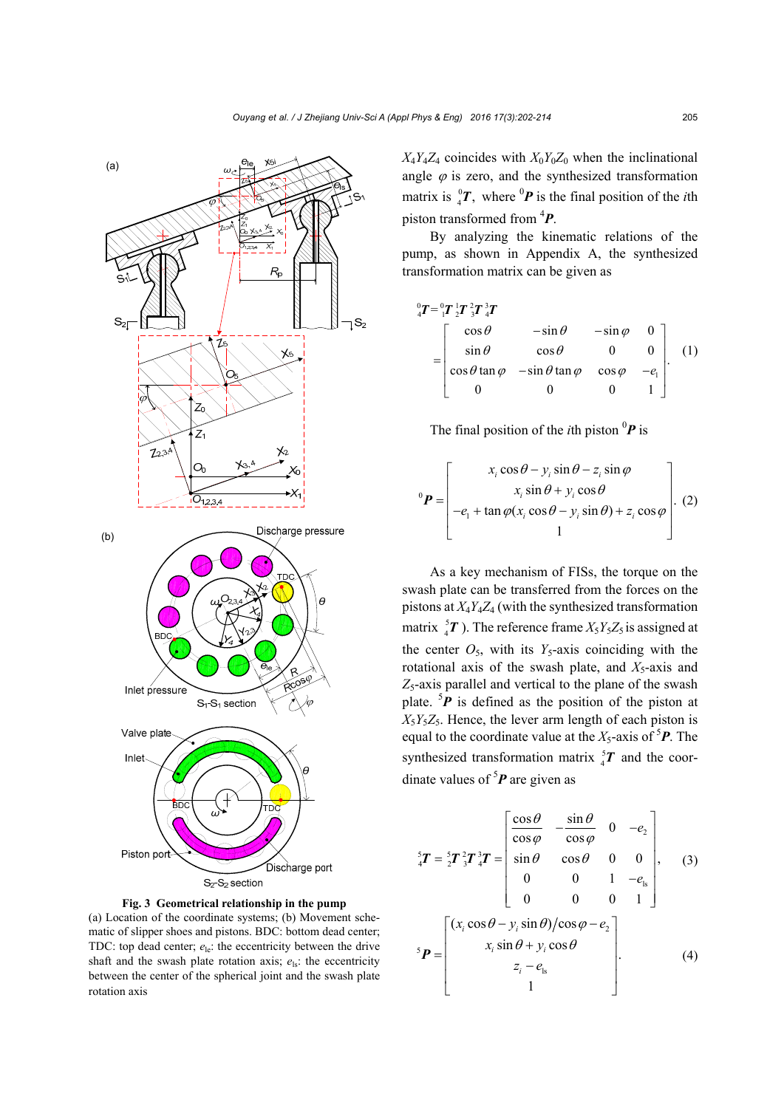



between the center of the spherical joint and the swash plate

rotation axis

**Fig. 3 Geometrical relationship in the pump** 

 $X_4Y_4Z_4$  coincides with  $X_0Y_0Z_0$  when the inclinational angle  $\varphi$  is zero, and the synthesized transformation matrix is  ${}_{4}^{0}T$ , where  ${}^{0}P$  is the final position of the *i*th piston transformed from 4 *P*.

By analyzing the kinematic relations of the pump, as shown in Appendix A, the synthesized transformation matrix can be given as

$$
\begin{aligned}\n\,^0_4 T &= \,^0_1 T \,^1_2 T \,^2_3 T \,^3_4 T \\
&= \begin{bmatrix}\n\cos \theta & -\sin \theta & -\sin \varphi & 0 \\
\sin \theta & \cos \theta & 0 & 0 \\
\cos \theta \tan \varphi & -\sin \theta \tan \varphi & \cos \varphi & -e_1 \\
0 & 0 & 0 & 1\n\end{bmatrix}.\n\end{aligned} \tag{1}
$$

The final position of the *i*th piston  ${}^{0}P$  is

$$
{}^{0}\boldsymbol{P} = \begin{bmatrix} x_i \cos \theta - y_i \sin \theta - z_i \sin \varphi \\ x_i \sin \theta + y_i \cos \theta \\ -e_i + \tan \varphi (x_i \cos \theta - y_i \sin \theta) + z_i \cos \varphi \\ 1 \end{bmatrix}.
$$
 (2)

As a key mechanism of FISs, the torque on the swash plate can be transferred from the forces on the pistons at *X*4*Y*4*Z*4 (with the synthesized transformation matrix  ${}^{5}_{4}T$ ). The reference frame  $X_{5}Y_{5}Z_{5}$  is assigned at the center  $O_5$ , with its  $Y_5$ -axis coinciding with the rotational axis of the swash plate, and  $X_5$ -axis and *Z*5-axis parallel and vertical to the plane of the swash plate.  ${}^{5}P$  is defined as the position of the piston at  $X_5Y_5Z_5$ . Hence, the lever arm length of each piston is equal to the coordinate value at the  $X_5$ -axis of  ${}^5P$ . The synthesized transformation matrix  ${}^{5}_{4}T$  and the coordinate values of  ${}^{5}P$  are given as

$$
{}_{4}^{5}T = {}_{2}^{5}T {}_{3}^{2}T {}_{4}^{3}T = \begin{bmatrix} \frac{\cos\theta}{\cos\varphi} & -\frac{\sin\theta}{\cos\varphi} & 0 & -e_{2} \\ \sin\theta & \cos\theta & 0 & 0 \\ 0 & 0 & 1 & -e_{1s} \\ 0 & 0 & 0 & 1 \end{bmatrix}, \quad (3)
$$
\n
$$
{}_{5}\mathbf{P} = \begin{bmatrix} (x_{i}\cos\theta - y_{i}\sin\theta)/\cos\varphi - e_{2} \\ x_{i}\sin\theta + y_{i}\cos\theta \\ 1 \end{bmatrix}. \quad (4)
$$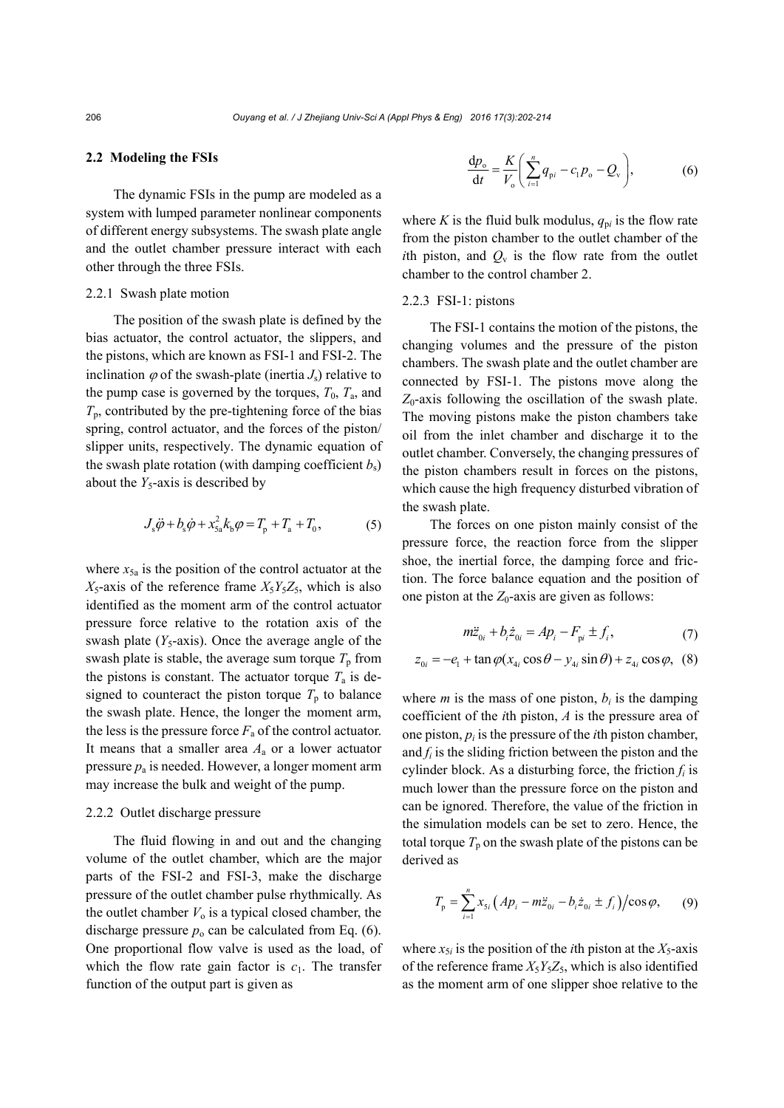#### **2.2 Modeling the FSIs**

The dynamic FSIs in the pump are modeled as a system with lumped parameter nonlinear components of different energy subsystems. The swash plate angle and the outlet chamber pressure interact with each other through the three FSIs.

#### 2.2.1 Swash plate motion

The position of the swash plate is defined by the bias actuator, the control actuator, the slippers, and the pistons, which are known as FSI-1 and FSI-2. The inclination  $\varphi$  of the swash-plate (inertia  $J_s$ ) relative to the pump case is governed by the torques,  $T_0$ ,  $T_a$ , and  $T_p$ , contributed by the pre-tightening force of the bias spring, control actuator, and the forces of the piston/ slipper units, respectively. The dynamic equation of the swash plate rotation (with damping coefficient  $b_s$ ) about the  $Y_5$ -axis is described by

$$
J_{\rm s}\ddot{\varphi} + b_{\rm s}\dot{\varphi} + x_{5a}^2 k_{\rm b}\varphi = T_{\rm p} + T_{\rm a} + T_0, \tag{5}
$$

where  $x_{5a}$  is the position of the control actuator at the  $X_5$ -axis of the reference frame  $X_5Y_5Z_5$ , which is also identified as the moment arm of the control actuator pressure force relative to the rotation axis of the swash plate  $(Y_5$ -axis). Once the average angle of the swash plate is stable, the average sum torque  $T_p$  from the pistons is constant. The actuator torque  $T_a$  is designed to counteract the piston torque  $T_p$  to balance the swash plate. Hence, the longer the moment arm, the less is the pressure force  $F_a$  of the control actuator. It means that a smaller area  $A<sub>a</sub>$  or a lower actuator pressure *p*a is needed. However, a longer moment arm may increase the bulk and weight of the pump.

### 2.2.2 Outlet discharge pressure

The fluid flowing in and out and the changing volume of the outlet chamber, which are the major parts of the FSI-2 and FSI-3, make the discharge pressure of the outlet chamber pulse rhythmically. As the outlet chamber  $V_0$  is a typical closed chamber, the discharge pressure  $p_0$  can be calculated from Eq. (6). One proportional flow valve is used as the load, of which the flow rate gain factor is  $c_1$ . The transfer function of the output part is given as

$$
\frac{dp_{o}}{dt} = \frac{K}{V_{o}} \left( \sum_{i=1}^{n} q_{pi} - c_{1} p_{o} - Q_{v} \right),
$$
 (6)

where *K* is the fluid bulk modulus,  $q_{pi}$  is the flow rate from the piston chamber to the outlet chamber of the *i*th piston, and  $Q_v$  is the flow rate from the outlet chamber to the control chamber 2.

#### 2.2.3 FSI-1: pistons

The FSI-1 contains the motion of the pistons, the changing volumes and the pressure of the piston chambers. The swash plate and the outlet chamber are connected by FSI-1. The pistons move along the  $Z_0$ -axis following the oscillation of the swash plate. The moving pistons make the piston chambers take oil from the inlet chamber and discharge it to the outlet chamber. Conversely, the changing pressures of the piston chambers result in forces on the pistons, which cause the high frequency disturbed vibration of the swash plate.

The forces on one piston mainly consist of the pressure force, the reaction force from the slipper shoe, the inertial force, the damping force and friction. The force balance equation and the position of one piston at the  $Z_0$ -axis are given as follows:

$$
m\ddot{z}_{0i} + b_i \dot{z}_{0i} = Ap_i - F_{pi} \pm f_i,
$$
 (7)

$$
z_{0i} = -e_1 + \tan\varphi(x_{4i}\cos\theta - y_{4i}\sin\theta) + z_{4i}\cos\varphi, \quad (8)
$$

where  $m$  is the mass of one piston,  $b_i$  is the damping coefficient of the *i*th piston, *A* is the pressure area of one piston,  $p_i$  is the pressure of the *i*th piston chamber, and  $f_i$  is the sliding friction between the piston and the cylinder block. As a disturbing force, the friction  $f_i$  is much lower than the pressure force on the piston and can be ignored. Therefore, the value of the friction in the simulation models can be set to zero. Hence, the total torque  $T_p$  on the swash plate of the pistons can be derived as

$$
T_{\rm p} = \sum_{i=1}^{n} x_{\rm Si} \left( A p_i - m \ddot{z}_{\rm 0i} - b_i \dot{z}_{\rm 0i} \pm f_i \right) / \cos \varphi, \qquad (9)
$$

where  $x_{5i}$  is the position of the *i*th piston at the  $X_5$ -axis of the reference frame  $X_5Y_5Z_5$ , which is also identified as the moment arm of one slipper shoe relative to the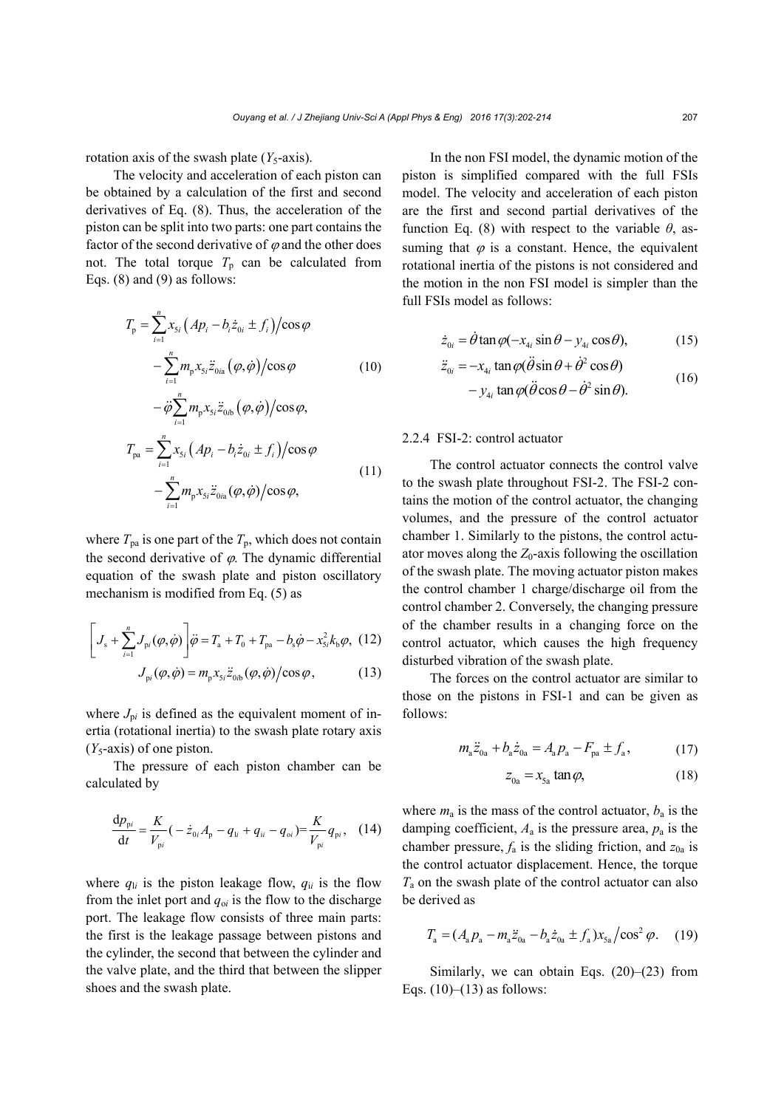rotation axis of the swash plate  $(Y_5$ -axis).

The velocity and acceleration of each piston can be obtained by a calculation of the first and second derivatives of Eq. (8). Thus, the acceleration of the piston can be split into two parts: one part contains the factor of the second derivative of  $\varphi$  and the other does not. The total torque  $T_p$  can be calculated from Eqs. (8) and (9) as follows:

$$
T_{\rm p} = \sum_{i=1}^{n} x_{5i} \left( Ap_i - b_i \dot{z}_{0i} \pm f_i \right) / \cos \varphi
$$

$$
- \sum_{i=1}^{n} m_{\rm p} x_{5i} \ddot{z}_{0i\text{a}} \left( \varphi, \dot{\varphi} \right) / \cos \varphi \tag{10}
$$

$$
-\ddot{\varphi}\sum_{i=1}^{n} m_{\mathbf{p}} x_{5i} \ddot{z}_{0i\mathbf{b}}(\varphi,\dot{\varphi})/\cos\varphi,
$$
  
\n
$$
T_{\mathbf{p}\mathbf{a}} = \sum_{i=1}^{n} x_{5i} (A p_{i} - b_{i} \dot{z}_{0i} \pm f_{i})/\cos\varphi
$$
  
\n
$$
-\sum_{i=1}^{n} m_{\mathbf{p}} x_{5i} \ddot{z}_{0i\mathbf{a}}(\varphi,\dot{\varphi})/\cos\varphi,
$$
\n(11)

where  $T_{pa}$  is one part of the  $T_p$ , which does not contain the second derivative of  $\varphi$ . The dynamic differential equation of the swash plate and piston oscillatory mechanism is modified from Eq. (5) as

$$
\left[J_s + \sum_{i=1}^n J_{pi}(\varphi, \dot{\varphi})\right] \ddot{\varphi} = T_a + T_0 + T_{pa} - b_s \dot{\varphi} - x_{si}^2 k_b \varphi, (12)
$$

$$
J_{pi}(\varphi, \dot{\varphi}) = m_p x_{si} \ddot{z}_{oh}(\varphi, \dot{\varphi}) / \cos \varphi, (13)
$$

where  $J_{pi}$  is defined as the equivalent moment of inertia (rotational inertia) to the swash plate rotary axis (*Y*5-axis) of one piston.

The pressure of each piston chamber can be calculated by

$$
\frac{\mathrm{d}p_{\mathrm{p}i}}{\mathrm{d}t} = \frac{K}{V_{\mathrm{p}i}} \left( -\dot{z}_{0i} A_{\mathrm{p}} - q_{\mathrm{li}} + q_{\mathrm{ii}} - q_{\mathrm{oi}} \right) = \frac{K}{V_{\mathrm{p}i}} q_{\mathrm{p}i}, \quad (14)
$$

where  $q_{li}$  is the piston leakage flow,  $q_{li}$  is the flow from the inlet port and  $q_{0i}$  is the flow to the discharge port. The leakage flow consists of three main parts: the first is the leakage passage between pistons and the cylinder, the second that between the cylinder and the valve plate, and the third that between the slipper shoes and the swash plate.

In the non FSI model, the dynamic motion of the piston is simplified compared with the full FSIs model. The velocity and acceleration of each piston are the first and second partial derivatives of the function Eq. (8) with respect to the variable *θ*, assuming that  $\varphi$  is a constant. Hence, the equivalent rotational inertia of the pistons is not considered and the motion in the non FSI model is simpler than the full FSIs model as follows:

$$
\dot{z}_{0i} = \dot{\theta} \tan \varphi (-x_{4i} \sin \theta - y_{4i} \cos \theta), \tag{15}
$$

$$
\ddot{z}_{0i} = -x_{4i} \tan \varphi (\ddot{\theta} \sin \theta + \dot{\theta}^2 \cos \theta)
$$
 (16)

$$
-y_{4i} \tan \varphi (\ddot{\theta} \cos \theta - \dot{\theta}^2 \sin \theta).
$$
 (16)

#### 2.2.4 FSI-2: control actuator

The control actuator connects the control valve to the swash plate throughout FSI-2. The FSI-2 contains the motion of the control actuator, the changing volumes, and the pressure of the control actuator chamber 1. Similarly to the pistons, the control actuator moves along the  $Z_0$ -axis following the oscillation of the swash plate. The moving actuator piston makes the control chamber 1 charge/discharge oil from the control chamber 2. Conversely, the changing pressure of the chamber results in a changing force on the control actuator, which causes the high frequency disturbed vibration of the swash plate.

The forces on the control actuator are similar to those on the pistons in FSI-1 and can be given as follows:

$$
m_{\rm a} \ddot{z}_{0\rm a} + b_{\rm a} \dot{z}_{0\rm a} = A_{\rm a} p_{\rm a} - F_{\rm pa} \pm f_{\rm a},\tag{17}
$$

$$
z_{0a} = x_{5a} \tan \varphi, \tag{18}
$$

where  $m_a$  is the mass of the control actuator,  $b_a$  is the damping coefficient,  $A_a$  is the pressure area,  $p_a$  is the chamber pressure,  $f_a$  is the sliding friction, and  $z_{0a}$  is the control actuator displacement. Hence, the torque *T*a on the swash plate of the control actuator can also be derived as

$$
T_{\rm a} = (A_{\rm a} p_{\rm a} - m_{\rm a} \ddot{z}_{\rm 0a} - b_{\rm a} \dot{z}_{\rm 0a} \pm f_{\rm a}) x_{\rm 5a} / \cos^2 \varphi. \quad (19)
$$

Similarly, we can obtain Eqs.  $(20)$ – $(23)$  from Eqs.  $(10)$ – $(13)$  as follows: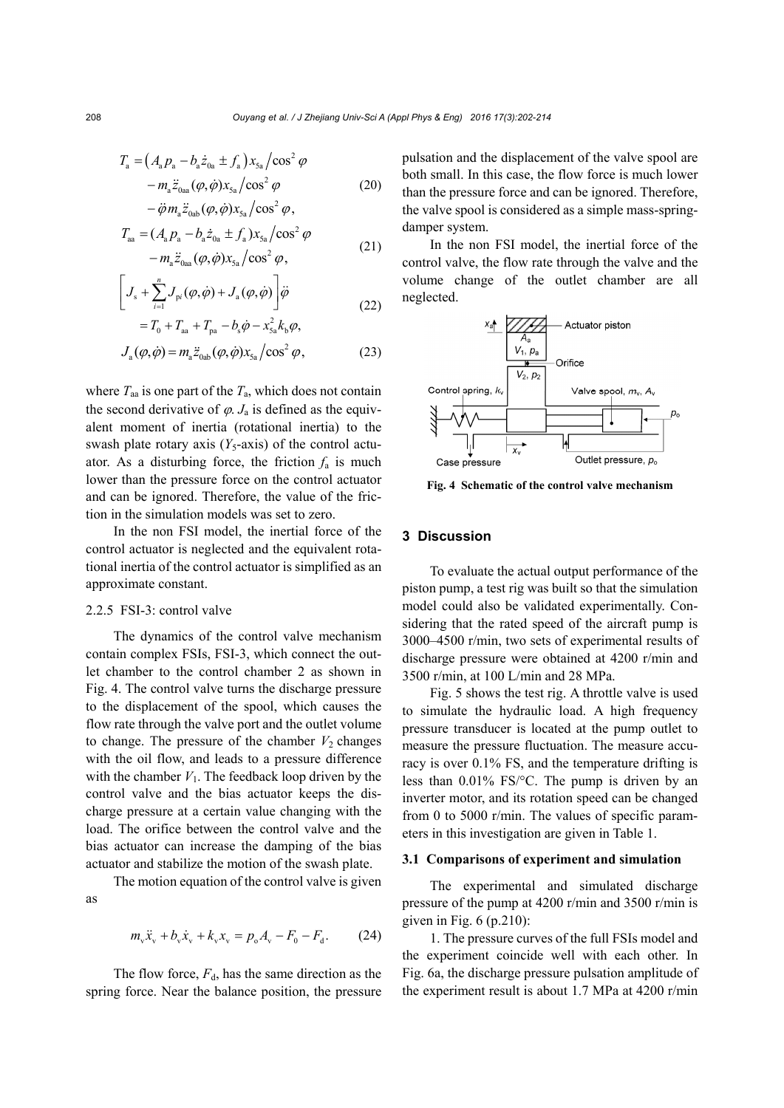$$
T_{\rm a} = (A_{\rm a} p_{\rm a} - b_{\rm a} \dot{z}_{\rm 0a} \pm f_{\rm a}) x_{\rm 5a} / \cos^2 \varphi - m_{\rm a} \ddot{z}_{\rm 0aa} (\varphi, \dot{\varphi}) x_{\rm 5a} / \cos^2 \varphi
$$
 (20)

$$
-\ddot{\varphi} m_a \ddot{z}_{0ab} (\varphi, \dot{\varphi}) x_{5a} / \cos^2 \varphi,
$$
  
\n
$$
T_{aa} = (A_a p_a - b_a \dot{z}_{0a} \pm f_a) x_{5a} / \cos^2 \varphi
$$
  
\n
$$
- m_a \ddot{z}_{0aa} (\varphi, \dot{\varphi}) x_{5a} / \cos^2 \varphi,
$$
\n(21)

$$
\left[J_s + \sum_{i=1}^n J_{pi}(\varphi, \dot{\varphi}) + J_a(\varphi, \dot{\varphi})\right] \dot{\varphi}
$$
  
=  $T_0 + T_{aa} + T_{pa} - b_s \dot{\varphi} - x_{sa}^2 k_b \varphi,$  (22)

$$
J_{\rm a}(\varphi,\dot{\varphi}) = m_{\rm a} \ddot{z}_{\rm Oab}(\varphi,\dot{\varphi}) x_{\rm 5a} / \cos^2 \varphi, \tag{23}
$$

where  $T_{aa}$  is one part of the  $T_a$ , which does not contain the second derivative of  $\varphi$ . *J*<sub>a</sub> is defined as the equivalent moment of inertia (rotational inertia) to the swash plate rotary axis  $(Y_5$ -axis) of the control actuator. As a disturbing force, the friction  $f_a$  is much lower than the pressure force on the control actuator and can be ignored. Therefore, the value of the friction in the simulation models was set to zero.

In the non FSI model, the inertial force of the control actuator is neglected and the equivalent rotational inertia of the control actuator is simplified as an approximate constant.

#### 2.2.5 FSI-3: control valve

The dynamics of the control valve mechanism contain complex FSIs, FSI-3, which connect the outlet chamber to the control chamber 2 as shown in Fig. 4. The control valve turns the discharge pressure to the displacement of the spool, which causes the flow rate through the valve port and the outlet volume to change. The pressure of the chamber  $V_2$  changes with the oil flow, and leads to a pressure difference with the chamber  $V_1$ . The feedback loop driven by the control valve and the bias actuator keeps the discharge pressure at a certain value changing with the load. The orifice between the control valve and the bias actuator can increase the damping of the bias actuator and stabilize the motion of the swash plate.

The motion equation of the control valve is given as

$$
m_{\rm v}\ddot{x}_{\rm v} + b_{\rm v}\dot{x}_{\rm v} + k_{\rm v}x_{\rm v} = p_{\rm o}A_{\rm v} - F_{\rm o} - F_{\rm d}.
$$
 (24)

The flow force,  $F<sub>d</sub>$ , has the same direction as the spring force. Near the balance position, the pressure pulsation and the displacement of the valve spool are both small. In this case, the flow force is much lower than the pressure force and can be ignored. Therefore, the valve spool is considered as a simple mass-springdamper system.

In the non FSI model, the inertial force of the control valve, the flow rate through the valve and the volume change of the outlet chamber are all neglected.



**Fig. 4 Schematic of the control valve mechanism** 

#### **3 Discussion**

To evaluate the actual output performance of the piston pump, a test rig was built so that the simulation model could also be validated experimentally. Considering that the rated speed of the aircraft pump is 3000–4500 r/min, two sets of experimental results of discharge pressure were obtained at 4200 r/min and 3500 r/min, at 100 L/min and 28 MPa.

Fig. 5 shows the test rig. A throttle valve is used to simulate the hydraulic load. A high frequency pressure transducer is located at the pump outlet to measure the pressure fluctuation. The measure accuracy is over 0.1% FS, and the temperature drifting is less than 0.01% FS/°C. The pump is driven by an inverter motor, and its rotation speed can be changed from 0 to 5000 r/min. The values of specific parameters in this investigation are given in Table 1.

#### **3.1 Comparisons of experiment and simulation**

The experimental and simulated discharge pressure of the pump at 4200 r/min and 3500 r/min is given in Fig.  $6$  (p.210):

1. The pressure curves of the full FSIs model and the experiment coincide well with each other. In Fig. 6a, the discharge pressure pulsation amplitude of the experiment result is about 1.7 MPa at 4200 r/min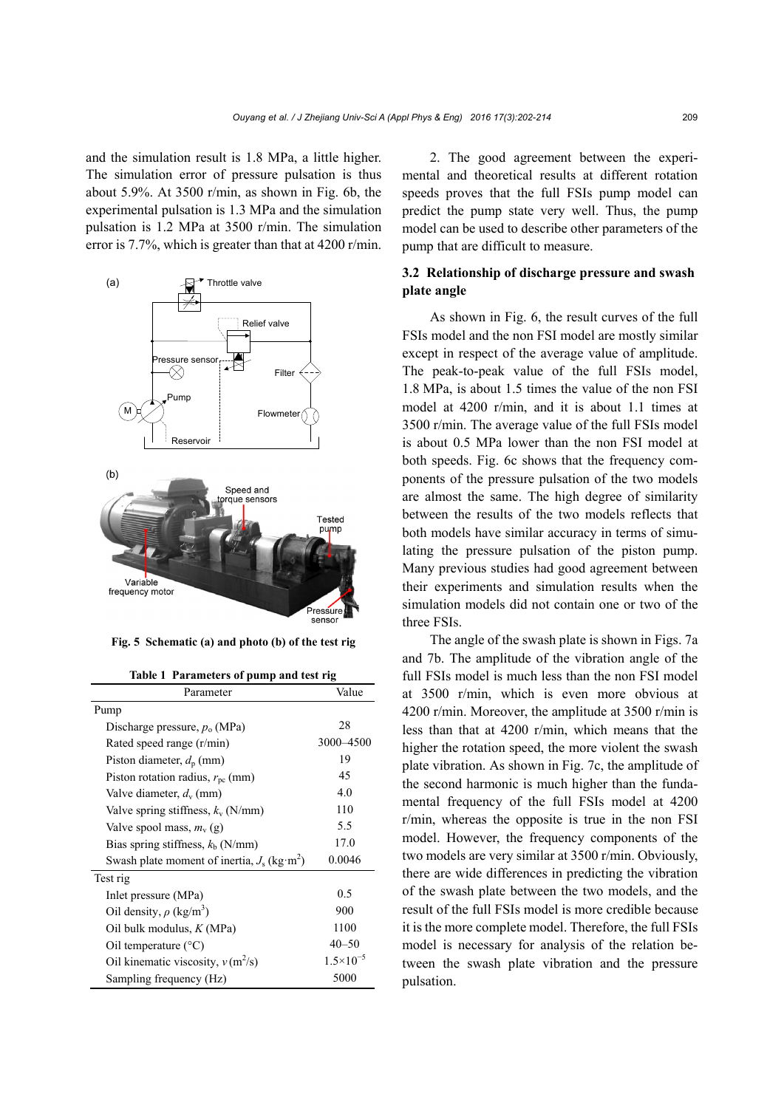and the simulation result is 1.8 MPa, a little higher. The simulation error of pressure pulsation is thus about 5.9%. At 3500 r/min, as shown in Fig. 6b, the experimental pulsation is 1.3 MPa and the simulation pulsation is 1.2 MPa at 3500 r/min. The simulation error is 7.7%, which is greater than that at 4200 r/min.



**Fig. 5 Schematic (a) and photo (b) of the test rig** 

**Table 1 Parameters of pump and test rig** 

| Parameter                                                 | Value                |
|-----------------------------------------------------------|----------------------|
| Pump                                                      |                      |
| Discharge pressure, $p_0$ (MPa)                           | 28                   |
| Rated speed range (r/min)                                 | 3000-4500            |
| Piston diameter, $d_p$ (mm)                               | 19                   |
| Piston rotation radius, $r_{\rm pc}$ (mm)                 | 45                   |
| Valve diameter, $d_v$ (mm)                                | 4.0                  |
| Valve spring stiffness, $k_v$ (N/mm)                      | 110                  |
| Valve spool mass, $m_v(g)$                                | 5.5                  |
| Bias spring stiffness, $kb$ (N/mm)                        | 17.0                 |
| Swash plate moment of inertia, $J_s$ (kg m <sup>2</sup> ) | 0.0046               |
| Test rig                                                  |                      |
| Inlet pressure (MPa)                                      | 0.5                  |
| Oil density, $\rho$ (kg/m <sup>3</sup> )                  | 900                  |
| Oil bulk modulus, $K(MPa)$                                | 1100                 |
| Oil temperature $(^{\circ}C)$                             | $40 - 50$            |
| Oil kinematic viscosity, $v(m^2/s)$                       | $1.5 \times 10^{-5}$ |
| Sampling frequency (Hz)                                   | 5000                 |

2. The good agreement between the experimental and theoretical results at different rotation speeds proves that the full FSIs pump model can predict the pump state very well. Thus, the pump model can be used to describe other parameters of the pump that are difficult to measure.

# **3.2 Relationship of discharge pressure and swash plate angle**

As shown in Fig. 6, the result curves of the full FSIs model and the non FSI model are mostly similar except in respect of the average value of amplitude. The peak-to-peak value of the full FSIs model, 1.8 MPa, is about 1.5 times the value of the non FSI model at 4200 r/min, and it is about 1.1 times at 3500 r/min. The average value of the full FSIs model is about 0.5 MPa lower than the non FSI model at both speeds. Fig. 6c shows that the frequency components of the pressure pulsation of the two models are almost the same. The high degree of similarity between the results of the two models reflects that both models have similar accuracy in terms of simulating the pressure pulsation of the piston pump. Many previous studies had good agreement between their experiments and simulation results when the simulation models did not contain one or two of the three FSIs.

The angle of the swash plate is shown in Figs. 7a and 7b. The amplitude of the vibration angle of the full FSIs model is much less than the non FSI model at 3500 r/min, which is even more obvious at 4200 r/min. Moreover, the amplitude at 3500 r/min is less than that at 4200 r/min, which means that the higher the rotation speed, the more violent the swash plate vibration. As shown in Fig. 7c, the amplitude of the second harmonic is much higher than the fundamental frequency of the full FSIs model at 4200 r/min, whereas the opposite is true in the non FSI model. However, the frequency components of the two models are very similar at 3500 r/min. Obviously, there are wide differences in predicting the vibration of the swash plate between the two models, and the result of the full FSIs model is more credible because it is the more complete model. Therefore, the full FSIs model is necessary for analysis of the relation between the swash plate vibration and the pressure pulsation.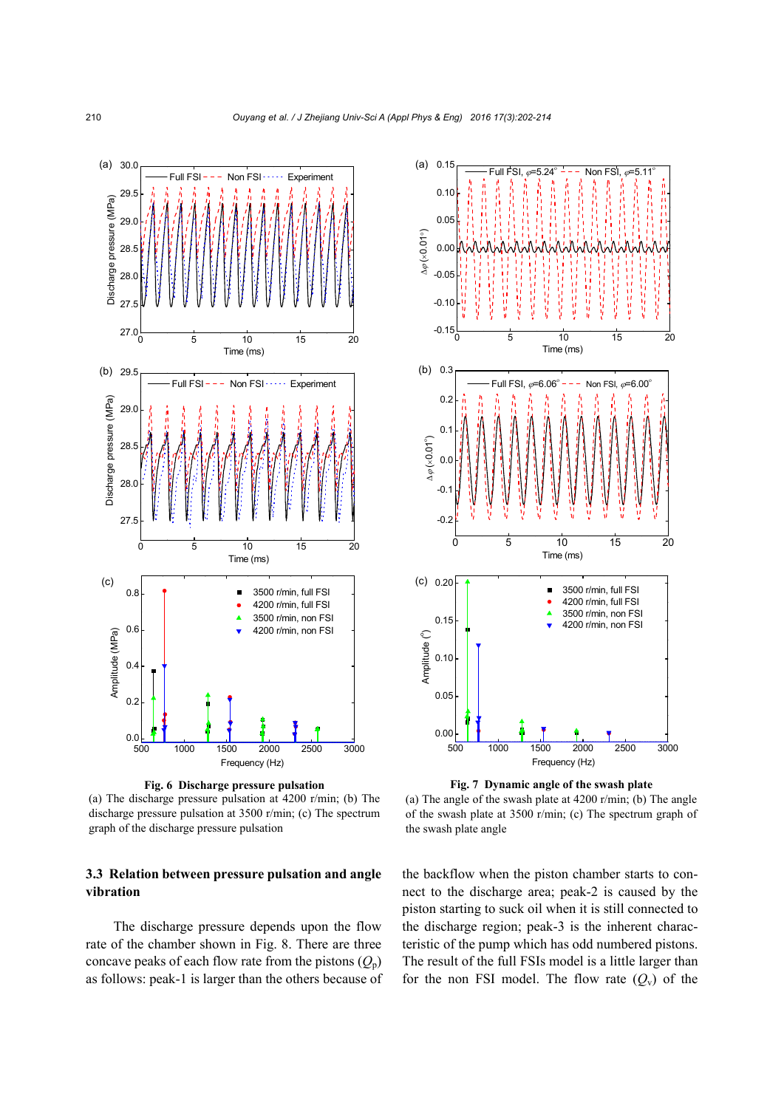

**Fig. 6 Discharge pressure pulsation** 

(a) The discharge pressure pulsation at 4200 r/min; (b) The discharge pressure pulsation at 3500 r/min; (c) The spectrum graph of the discharge pressure pulsation

# **3.3 Relation between pressure pulsation and angle vibration**

The discharge pressure depends upon the flow rate of the chamber shown in Fig. 8. There are three concave peaks of each flow rate from the pistons  $(Q_p)$ as follows: peak-1 is larger than the others because of



**Fig. 7 Dynamic angle of the swash plate** 

(a) The angle of the swash plate at 4200 r/min; (b) The angle of the swash plate at 3500 r/min; (c) The spectrum graph of the swash plate angle

the backflow when the piston chamber starts to connect to the discharge area; peak-2 is caused by the piston starting to suck oil when it is still connected to the discharge region; peak-3 is the inherent characteristic of the pump which has odd numbered pistons. The result of the full FSIs model is a little larger than for the non FSI model. The flow rate  $(Q_v)$  of the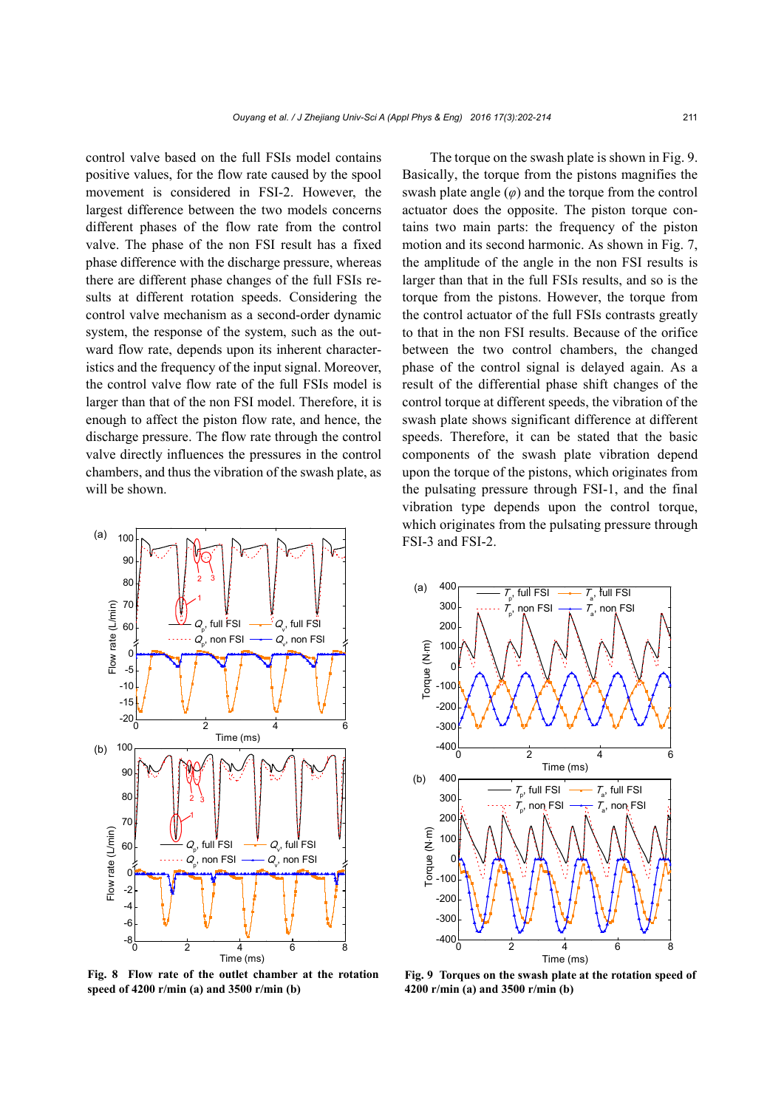control valve based on the full FSIs model contains positive values, for the flow rate caused by the spool movement is considered in FSI-2. However, the largest difference between the two models concerns different phases of the flow rate from the control valve. The phase of the non FSI result has a fixed phase difference with the discharge pressure, whereas there are different phase changes of the full FSIs results at different rotation speeds. Considering the control valve mechanism as a second-order dynamic system, the response of the system, such as the outward flow rate, depends upon its inherent characteristics and the frequency of the input signal. Moreover, the control valve flow rate of the full FSIs model is larger than that of the non FSI model. Therefore, it is enough to affect the piston flow rate, and hence, the discharge pressure. The flow rate through the control valve directly influences the pressures in the control chambers, and thus the vibration of the swash plate, as will be shown.



**Fig. 8 Flow rate of the outlet chamber at the rotation speed of 4200 r/min (a) and 3500 r/min (b)**

The torque on the swash plate is shown in Fig. 9. Basically, the torque from the pistons magnifies the swash plate angle  $(\varphi)$  and the torque from the control actuator does the opposite. The piston torque contains two main parts: the frequency of the piston motion and its second harmonic. As shown in Fig. 7, the amplitude of the angle in the non FSI results is larger than that in the full FSIs results, and so is the torque from the pistons. However, the torque from the control actuator of the full FSIs contrasts greatly to that in the non FSI results. Because of the orifice between the two control chambers, the changed phase of the control signal is delayed again. As a result of the differential phase shift changes of the control torque at different speeds, the vibration of the swash plate shows significant difference at different speeds. Therefore, it can be stated that the basic components of the swash plate vibration depend upon the torque of the pistons, which originates from the pulsating pressure through FSI-1, and the final vibration type depends upon the control torque, which originates from the pulsating pressure through FSI-3 and FSI-2.



**Fig. 9 Torques on the swash plate at the rotation speed of 4200 r/min (a) and 3500 r/min (b)**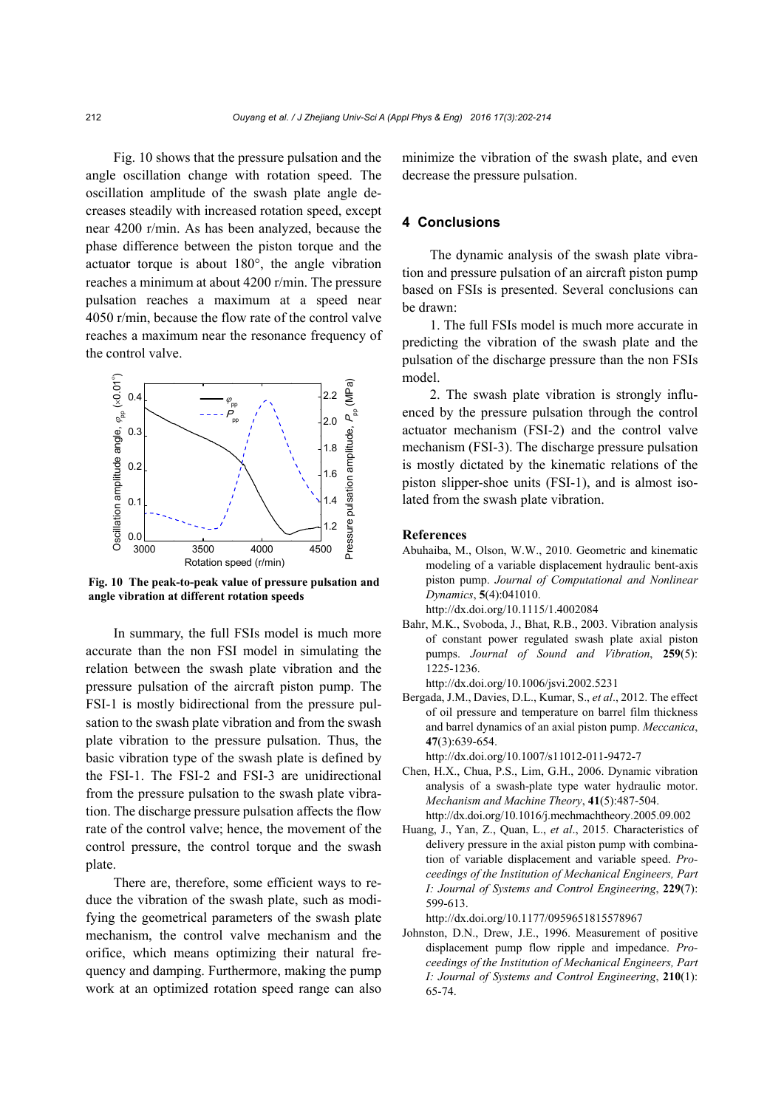Fig. 10 shows that the pressure pulsation and the angle oscillation change with rotation speed. The oscillation amplitude of the swash plate angle decreases steadily with increased rotation speed, except near 4200 r/min. As has been analyzed, because the phase difference between the piston torque and the actuator torque is about 180°, the angle vibration reaches a minimum at about 4200 r/min. The pressure pulsation reaches a maximum at a speed near 4050 r/min, because the flow rate of the control valve reaches a maximum near the resonance frequency of the control valve.



**Fig. 10 The peak-to-peak value of pressure pulsation and angle vibration at different rotation speeds**

In summary, the full FSIs model is much more accurate than the non FSI model in simulating the relation between the swash plate vibration and the pressure pulsation of the aircraft piston pump. The FSI-1 is mostly bidirectional from the pressure pulsation to the swash plate vibration and from the swash plate vibration to the pressure pulsation. Thus, the basic vibration type of the swash plate is defined by the FSI-1. The FSI-2 and FSI-3 are unidirectional from the pressure pulsation to the swash plate vibration. The discharge pressure pulsation affects the flow rate of the control valve; hence, the movement of the control pressure, the control torque and the swash plate.

There are, therefore, some efficient ways to reduce the vibration of the swash plate, such as modifying the geometrical parameters of the swash plate mechanism, the control valve mechanism and the orifice, which means optimizing their natural frequency and damping. Furthermore, making the pump work at an optimized rotation speed range can also

minimize the vibration of the swash plate, and even decrease the pressure pulsation.

# **4 Conclusions**

The dynamic analysis of the swash plate vibration and pressure pulsation of an aircraft piston pump based on FSIs is presented. Several conclusions can be drawn:

1. The full FSIs model is much more accurate in predicting the vibration of the swash plate and the pulsation of the discharge pressure than the non FSIs model.

2. The swash plate vibration is strongly influenced by the pressure pulsation through the control actuator mechanism (FSI-2) and the control valve mechanism (FSI-3). The discharge pressure pulsation is mostly dictated by the kinematic relations of the piston slipper-shoe units (FSI-1), and is almost isolated from the swash plate vibration.

#### **References**

- Abuhaiba, M., Olson, W.W., 2010. Geometric and kinematic modeling of a variable displacement hydraulic bent-axis piston pump. *Journal of Computational and Nonlinear Dynamics*, **5**(4):041010. http://dx.doi.org/10.1115/1.4002084
- Bahr, M.K., Svoboda, J., Bhat, R.B., 2003. Vibration analysis of constant power regulated swash plate axial piston pumps. *Journal of Sound and Vibration*, **259**(5): 1225-1236.

http://dx.doi.org/10.1006/jsvi.2002.5231

Bergada, J.M., Davies, D.L., Kumar, S., *et al*., 2012. The effect of oil pressure and temperature on barrel film thickness and barrel dynamics of an axial piston pump. *Meccanica*, **47**(3):639-654.

http://dx.doi.org/10.1007/s11012-011-9472-7

- Chen, H.X., Chua, P.S., Lim, G.H., 2006. Dynamic vibration analysis of a swash-plate type water hydraulic motor. *Mechanism and Machine Theory*, **41**(5):487-504. http://dx.doi.org/10.1016/j.mechmachtheory.2005.09.002
- Huang, J., Yan, Z., Quan, L., *et al*., 2015. Characteristics of delivery pressure in the axial piston pump with combination of variable displacement and variable speed. *Proceedings of the Institution of Mechanical Engineers, Part I: Journal of Systems and Control Engineering*, **229**(7): 599-613.

http://dx.doi.org/10.1177/0959651815578967

Johnston, D.N., Drew, J.E., 1996. Measurement of positive displacement pump flow ripple and impedance. *Proceedings of the Institution of Mechanical Engineers, Part I: Journal of Systems and Control Engineering*, **210**(1): 65-74.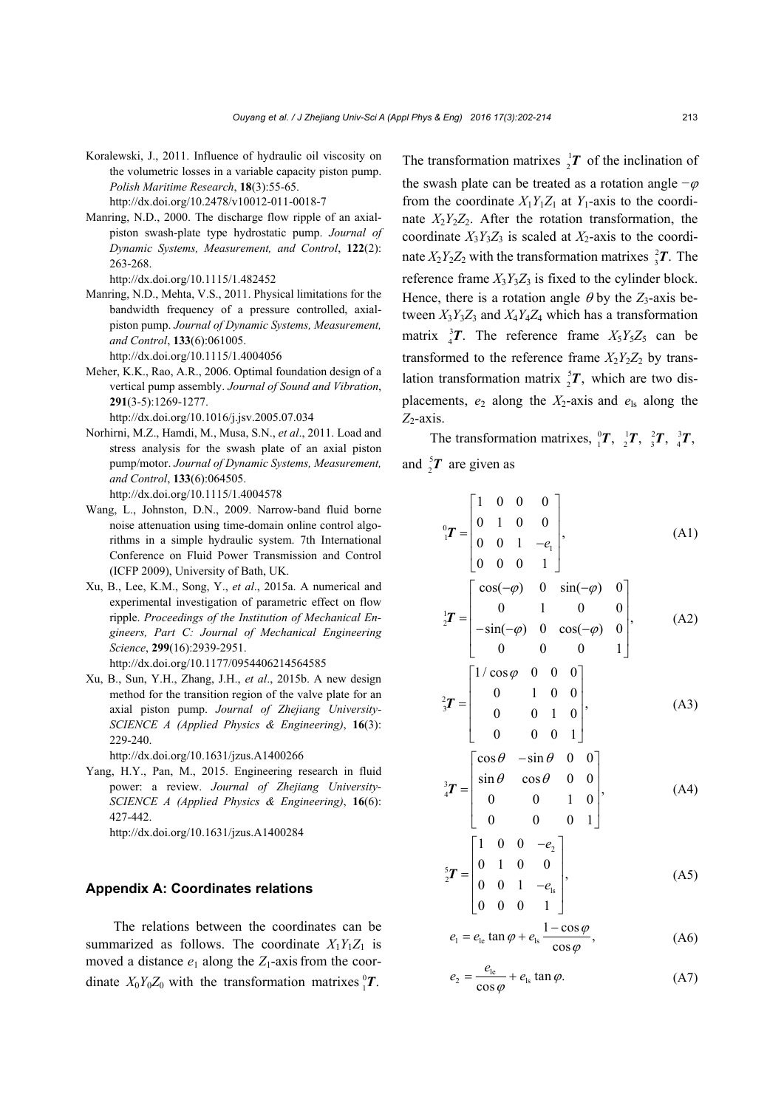- Koralewski, J., 2011. Influence of hydraulic oil viscosity on the volumetric losses in a variable capacity piston pump. *Polish Maritime Research*, **18**(3):55-65. http://dx.doi.org/10.2478/v10012-011-0018-7
- Manring, N.D., 2000. The discharge flow ripple of an axialpiston swash-plate type hydrostatic pump. *Journal of Dynamic Systems, Measurement, and Control*, **122**(2): 263-268.

http://dx.doi.org/10.1115/1.482452

Manring, N.D., Mehta, V.S., 2011. Physical limitations for the bandwidth frequency of a pressure controlled, axialpiston pump. *Journal of Dynamic Systems, Measurement, and Control*, **133**(6):061005.

http://dx.doi.org/10.1115/1.4004056

Meher, K.K., Rao, A.R., 2006. Optimal foundation design of a vertical pump assembly. *Journal of Sound and Vibration*, **291**(3-5):1269-1277.

http://dx.doi.org/10.1016/j.jsv.2005.07.034

- Norhirni, M.Z., Hamdi, M., Musa, S.N., *et al*., 2011. Load and stress analysis for the swash plate of an axial piston pump/motor. *Journal of Dynamic Systems, Measurement, and Control*, **133**(6):064505. http://dx.doi.org/10.1115/1.4004578
- Wang, L., Johnston, D.N., 2009. Narrow-band fluid borne noise attenuation using time-domain online control algorithms in a simple hydraulic system. 7th International Conference on Fluid Power Transmission and Control (ICFP 2009), University of Bath, UK.
- Xu, B., Lee, K.M., Song, Y., *et al*., 2015a. A numerical and experimental investigation of parametric effect on flow ripple. *Proceedings of the Institution of Mechanical Engineers, Part C: Journal of Mechanical Engineering Science*, **299**(16):2939-2951. http://dx.doi.org/10.1177/0954406214564585
- Xu, B., Sun, Y.H., Zhang, J.H., *et al*., 2015b. A new design method for the transition region of the valve plate for an axial piston pump. *Journal of Zhejiang University-SCIENCE A (Applied Physics & Engineering)*, **16**(3): 229-240.

http://dx.doi.org/10.1631/jzus.A1400266

Yang, H.Y., Pan, M., 2015. Engineering research in fluid power: a review. *Journal of Zhejiang University-SCIENCE A (Applied Physics & Engineering)*, **16**(6):  $427 - 442$ 

http://dx.doi.org/10.1631/jzus.A1400284

#### **Appendix A: Coordinates relations**

The relations between the coordinates can be summarized as follows. The coordinate  $X_1Y_1Z_1$  is moved a distance  $e_1$  along the  $Z_1$ -axis from the coordinate  $X_0 Y_0 Z_0$  with the transformation matrixes  ${}^0_1T$ .

The transformation matrixes  $\frac{1}{2}T$  of the inclination of the swash plate can be treated as a rotation angle  $-\varphi$ from the coordinate  $X_1Y_1Z_1$  at  $Y_1$ -axis to the coordinate  $X_2Y_2Z_2$ . After the rotation transformation, the coordinate  $X_3Y_3Z_3$  is scaled at  $X_2$ -axis to the coordinate  $X_2 Y_2 Z_2$  with the transformation matrixes  $\frac{2}{3}T$ . The reference frame  $X_3Y_3Z_3$  is fixed to the cylinder block. Hence, there is a rotation angle  $\theta$  by the *Z*<sub>3</sub>-axis between  $X_3Y_3Z_3$  and  $X_4Y_4Z_4$  which has a transformation matrix  ${}_{4}^{3}T$ . The reference frame  $X_{5}Y_{5}Z_{5}$  can be transformed to the reference frame  $X_2Y_2Z_2$  by translation transformation matrix  ${}_{2}^{5}T$ , which are two displacements,  $e_2$  along the  $X_2$ -axis and  $e_{ls}$  along the  $Z_2$ -axis.

The transformation matrixes,  ${}_{1}^{0}T$ ,  ${}_{2}^{1}T$ ,  ${}_{3}^{2}T$ ,  ${}_{4}^{3}T$ , and  ${}_{2}^{5}T$  are given as

$$
{}_{1}^{0}T = \begin{bmatrix} 1 & 0 & 0 & 0 \\ 0 & 1 & 0 & 0 \\ 0 & 0 & 1 & -e_{1} \\ 0 & 0 & 0 & 1 \end{bmatrix},
$$
 (A1)

$$
\begin{bmatrix} 0 & 0 & 0 & 1 \end{bmatrix}
$$
  

$$
\begin{bmatrix} \cos(-\varphi) & 0 & \sin(-\varphi) & 0 \\ 0 & 1 & 0 & 0 \\ -\sin(-\varphi) & 0 & \cos(-\varphi) & 0 \\ 0 & 0 & 0 & 1 \end{bmatrix}
$$
, (A2)

$$
{}^{2}_{3}T = \begin{bmatrix} 1/\cos\varphi & 0 & 0 & 0 \\ 0 & 1 & 0 & 0 \\ 0 & 0 & 1 & 0 \\ 0 & 0 & 0 & 1 \end{bmatrix},
$$
 (A3)

$$
\begin{bmatrix} 0 & 0 & 0 & 1 \end{bmatrix}
$$
  

$$
{}^{3}_{4}T = \begin{bmatrix} \cos \theta & -\sin \theta & 0 & 0 \\ \sin \theta & \cos \theta & 0 & 0 \\ 0 & 0 & 1 & 0 \end{bmatrix}, \quad (A4)
$$

$$
\mathbf{F} = \begin{bmatrix} \sin \theta & \cos \theta & 0 & 0 \\ 0 & 0 & 1 & 0 \\ 0 & 0 & 0 & 1 \end{bmatrix},\tag{A4}
$$

$$
\begin{aligned}\n\frac{5}{2}\mathbf{T} &= \begin{bmatrix}\n1 & 0 & 0 & -e_2 \\
0 & 1 & 0 & 0 \\
0 & 0 & 1 & -e_8 \\
0 & 0 & 0 & 1\n\end{bmatrix},\n\end{aligned} \tag{A5}
$$

$$
e_{1} = e_{1e} \tan \varphi + e_{1s} \frac{1 - \cos \varphi}{\cos \varphi}, \tag{A6}
$$

$$
e_2 = \frac{e_{\rm le}}{\cos \varphi} + e_{\rm ls} \tan \varphi. \tag{A7}
$$